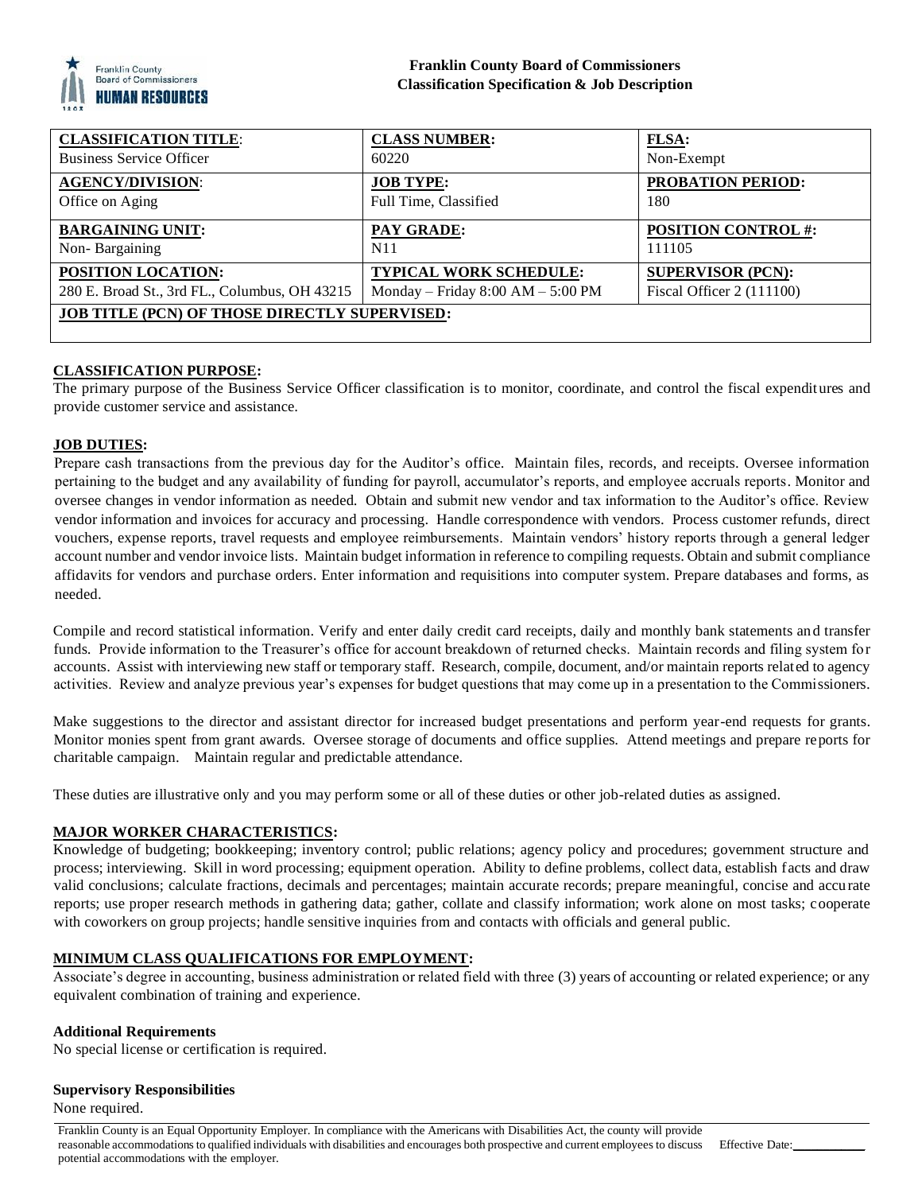

| <b>CLASSIFICATION TITLE:</b>                         | <b>CLASS NUMBER:</b>                | FLSA:                      |
|------------------------------------------------------|-------------------------------------|----------------------------|
| <b>Business Service Officer</b>                      | 60220                               | Non-Exempt                 |
| <b>AGENCY/DIVISION:</b>                              | <b>JOB TYPE:</b>                    | <b>PROBATION PERIOD:</b>   |
| Office on Aging                                      | Full Time, Classified               | 180                        |
| <b>BARGAINING UNIT:</b>                              | PAY GRADE:                          | <b>POSITION CONTROL #:</b> |
| Non-Bargaining                                       | N <sub>1</sub> 1                    | 111105                     |
| <b>POSITION LOCATION:</b>                            | <b>TYPICAL WORK SCHEDULE:</b>       | <b>SUPERVISOR (PCN):</b>   |
| 280 E. Broad St., 3rd FL., Columbus, OH 43215        | Monday – Friday $8:00 AM - 5:00 PM$ | Fiscal Officer $2(111100)$ |
| <b>JOB TITLE (PCN) OF THOSE DIRECTLY SUPERVISED:</b> |                                     |                            |
|                                                      |                                     |                            |

# **CLASSIFICATION PURPOSE:**

The primary purpose of the Business Service Officer classification is to monitor, coordinate, and control the fiscal expenditures and provide customer service and assistance.

#### **JOB DUTIES:**

Prepare cash transactions from the previous day for the Auditor's office. Maintain files, records, and receipts. Oversee information pertaining to the budget and any availability of funding for payroll, accumulator's reports, and employee accruals reports. Monitor and oversee changes in vendor information as needed. Obtain and submit new vendor and tax information to the Auditor's office. Review vendor information and invoices for accuracy and processing. Handle correspondence with vendors. Process customer refunds, direct vouchers, expense reports, travel requests and employee reimbursements. Maintain vendors' history reports through a general ledger account number and vendor invoice lists. Maintain budget information in reference to compiling requests. Obtain and submit compliance affidavits for vendors and purchase orders. Enter information and requisitions into computer system. Prepare databases and forms, as needed.

Compile and record statistical information. Verify and enter daily credit card receipts, daily and monthly bank statements and transfer funds. Provide information to the Treasurer's office for account breakdown of returned checks. Maintain records and filing system for accounts. Assist with interviewing new staff or temporary staff. Research, compile, document, and/or maintain reports related to agency activities. Review and analyze previous year's expenses for budget questions that may come up in a presentation to the Commissioners.

Make suggestions to the director and assistant director for increased budget presentations and perform year-end requests for grants. Monitor monies spent from grant awards. Oversee storage of documents and office supplies. Attend meetings and prepare reports for charitable campaign. Maintain regular and predictable attendance.

These duties are illustrative only and you may perform some or all of these duties or other job-related duties as assigned.

## **MAJOR WORKER CHARACTERISTICS:**

Knowledge of budgeting; bookkeeping; inventory control; public relations; agency policy and procedures; government structure and process; interviewing. Skill in word processing; equipment operation. Ability to define problems, collect data, establish facts and draw valid conclusions; calculate fractions, decimals and percentages; maintain accurate records; prepare meaningful, concise and accurate reports; use proper research methods in gathering data; gather, collate and classify information; work alone on most tasks; cooperate with coworkers on group projects; handle sensitive inquiries from and contacts with officials and general public.

## **MINIMUM CLASS QUALIFICATIONS FOR EMPLOYMENT:**

Associate's degree in accounting, business administration or related field with three (3) years of accounting or related experience; or any equivalent combination of training and experience.

#### **Additional Requirements**

No special license or certification is required.

#### **Supervisory Responsibilities**

None required.

Franklin County is an Equal Opportunity Employer. In compliance with the Americans with Disabilities Act, the county will provide reasonable accommodations to qualified individuals with disabilities and encourages both prospective and current employees to discuss potential accommodations with the employer. Effective Date:\_\_\_\_\_\_\_\_\_\_\_\_